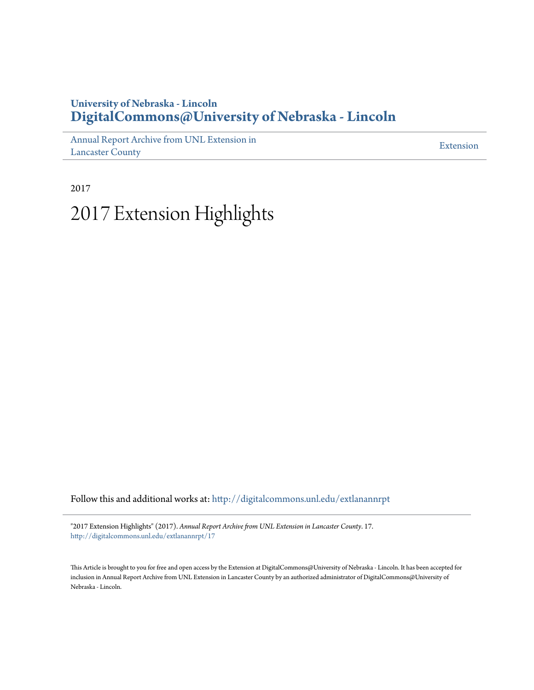#### **University of Nebraska - Lincoln [DigitalCommons@University of Nebraska - Lincoln](http://digitalcommons.unl.edu?utm_source=digitalcommons.unl.edu%2Fextlanannrpt%2F17&utm_medium=PDF&utm_campaign=PDFCoverPages)**

[Annual Report Archive from UNL Extension in](http://digitalcommons.unl.edu/extlanannrpt?utm_source=digitalcommons.unl.edu%2Fextlanannrpt%2F17&utm_medium=PDF&utm_campaign=PDFCoverPages) [Lancaster County](http://digitalcommons.unl.edu/extlanannrpt?utm_source=digitalcommons.unl.edu%2Fextlanannrpt%2F17&utm_medium=PDF&utm_campaign=PDFCoverPages)

[Extension](http://digitalcommons.unl.edu/coop_extension?utm_source=digitalcommons.unl.edu%2Fextlanannrpt%2F17&utm_medium=PDF&utm_campaign=PDFCoverPages)

2017

# 2017 Extension Highlights

Follow this and additional works at: [http://digitalcommons.unl.edu/extlanannrpt](http://digitalcommons.unl.edu/extlanannrpt?utm_source=digitalcommons.unl.edu%2Fextlanannrpt%2F17&utm_medium=PDF&utm_campaign=PDFCoverPages)

"2017 Extension Highlights" (2017). *Annual Report Archive from UNL Extension in Lancaster County*. 17. [http://digitalcommons.unl.edu/extlanannrpt/17](http://digitalcommons.unl.edu/extlanannrpt/17?utm_source=digitalcommons.unl.edu%2Fextlanannrpt%2F17&utm_medium=PDF&utm_campaign=PDFCoverPages)

This Article is brought to you for free and open access by the Extension at DigitalCommons@University of Nebraska - Lincoln. It has been accepted for inclusion in Annual Report Archive from UNL Extension in Lancaster County by an authorized administrator of DigitalCommons@University of Nebraska - Lincoln.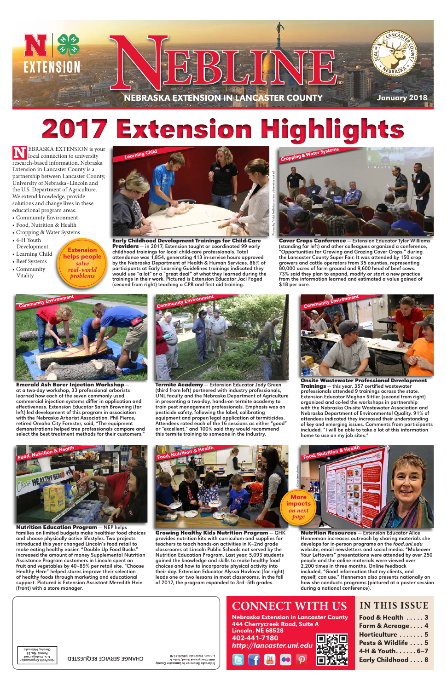Nutrition Resources — Extension Educator Alice Henneman increases outreach by sharing materials she develops for in-person programs on the *food.unl.edu* website, email newsletters and social media. "Makeover Your Leftovers" presentations were attended by over 250 people and the online materials were viewed over 2,200 times in three months. Online feedback included, "Good information that my clients, and myself, can use." Henneman also presents nationally on how she conducts programs (pictured at a poster session during a national conference).

Nutrition Education Program — NEP helps families on limited budgets make healthier food choices and choose physically active lifestyles. Two projects introduced this year changed Lincoln's food retail to make eating healthy easier. "Double Up Food Bucks" increased the amount of money Supplemental Nutrition Assistance Program customers in Lincoln spent on fruit and vegetables by 40–89% per retail site. "Choose Healthy Here" helped stores improve their selection of healthy foods through marketing and educational support. Pictured is Extension Assistant Meredith Hein (front) with a store manager.

Early Childhood Development Trainings for Child-Care Providers - in 2017, Extension taught or coordinated 99 early childhood trainings for local child-care professionals. Total attendance was 1,854, generating 413 in-service hours approved by the Nebraska Department of Health & Human Services. 86% of participants at Early Learning Guidelines trainings indicated they would use "a lot" or a "great deal" of what they learned during the trainings in their work. Pictured is Extension Educator Jaci Foged (second from right) teaching a CPR and first aid training.

Food, Nutrition & Health

**N**EBRASKA EXTENSION is your local connection to university research-based information. Nebraska Extension in Lancaster County is a partnership between Lancaster County, University of Nebraska–Lincoln and the U.S. Department of Agriculture. We extend knowledge, provide solutions and change lives in these educational program areas:

- Community Environment
- Food, Nutrition & Health
- Cropping & Water Systems
- 4-H Youth Development
- Learning Child
- Beef Systems
- Community
- Vitality



Cover Crops Conference - Extension Educator Tyler Williams (standing far left) and other colleagues organized a conference, "Opportunities for Growing and Grazing Cover Crops," during the Lancaster County Super Fair. It was attended by 150 crop growers and cattle operators from 35 counties, representing 80,000 acres of farm ground and 9,600 head of beef cows. 73% said they plan to expand, modify or start a new practice from the information learned and estimated a value gained of \$18 per acre.

Emerald Ash Borer Injection Workshop at a two-day workshop, 33 professional arborists learned how each of the seven commonly used commercial injection systems differ in application and effectiveness. Extension Educator Sarah Browning (far left) led development of this program in association with the Nebraska Arborist Association. Phil Pierce, retired Omaha City Forester, said, "The equipment demonstrations helped tree professionals compare and select the best treatment methods for their customers.'



# 2017 Extension Highlights







Onsite Wastewater Professional Development Trainings — this year, 357 certified wastewater professionals attended 9 trainings across the state. Extension Educator Meghan Sittler (second from right) organized and co-led the workshops in partnership with the Nebraska On-site Wastewater Association and Nebraska Department of Environmental Quality. 91% of attendees indicated they increased their understanding of key and emerging issues. Comments from participants included, "I will be able to take a lot of this information home to use on my job sites."





Termite Academy - Extension Educator Jody Green (third from left) partnered with industry professionals, UNL faculty and the Nebraska Department of Agriculture in presenting a two-day, hands-on termite academy to train pest management professionals. Emphasis was on pesticide safety, following the label, calibrating equipment and proper/legal application of termiticides. Attendees rated each of the 16 sessions as either "good" or "excellent," and 100% said they would recommend this termite training to someone in the industry.



Growing Healthy Kids Nutrition Program — GHK provides nutrition kits with curriculum and supplies for teachers to teach hands-on activities in K–2nd grade classrooms at Lincoln Public Schools not served by the Nutrition Education Program. Last year, 5,093 students gained the knowledge and skills to make healthy food choices and how to incorporate physical activity into their day. Extension Educator Alyssa Havlovic (far right) leads one or two lessons in most classrooms. In the fall of 2017, the program expanded to 3rd–5th grades.



Extension helps people *solve real-world problems*